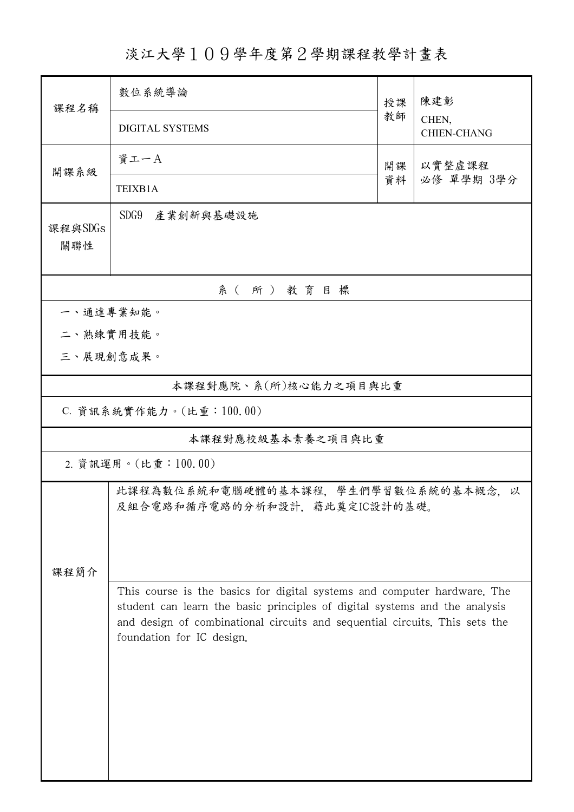淡江大學109學年度第2學期課程教學計畫表

| 課程名稱                                                                          | 數位系統導論                                                                                                                                                                                                                                | 授課           | 陳建彰<br>CHEN,<br><b>CHIEN-CHANG</b> |  |  |  |  |  |
|-------------------------------------------------------------------------------|---------------------------------------------------------------------------------------------------------------------------------------------------------------------------------------------------------------------------------------|--------------|------------------------------------|--|--|--|--|--|
|                                                                               | <b>DIGITAL SYSTEMS</b>                                                                                                                                                                                                                | 教師           |                                    |  |  |  |  |  |
| 開課系級                                                                          | 資工一A                                                                                                                                                                                                                                  | 以實整虛課程<br>開課 |                                    |  |  |  |  |  |
|                                                                               | TEIXB1A                                                                                                                                                                                                                               | 資料           | 必修 單學期 3學分                         |  |  |  |  |  |
| 課程與SDGs<br>關聯性                                                                | SDG9 產業創新與基礎設施                                                                                                                                                                                                                        |              |                                    |  |  |  |  |  |
| 系(所)教育目標                                                                      |                                                                                                                                                                                                                                       |              |                                    |  |  |  |  |  |
| 一、通達專業知能。                                                                     |                                                                                                                                                                                                                                       |              |                                    |  |  |  |  |  |
| 二、熟練實用技能。                                                                     |                                                                                                                                                                                                                                       |              |                                    |  |  |  |  |  |
| 三、展現創意成果。                                                                     |                                                                                                                                                                                                                                       |              |                                    |  |  |  |  |  |
| 本課程對應院、系(所)核心能力之項目與比重                                                         |                                                                                                                                                                                                                                       |              |                                    |  |  |  |  |  |
| C. 資訊系統實作能力。(比重:100.00)                                                       |                                                                                                                                                                                                                                       |              |                                    |  |  |  |  |  |
| 本課程對應校級基本素養之項目與比重                                                             |                                                                                                                                                                                                                                       |              |                                    |  |  |  |  |  |
| 2. 資訊運用。(比重:100.00)                                                           |                                                                                                                                                                                                                                       |              |                                    |  |  |  |  |  |
| 此課程為數位系統和電腦硬體的基本課程,學生們學習數位系統的基本概念,以<br>及組合電路和循序電路的分析和設計, 藉此奠定IC設計的基礎。<br>課程簡介 |                                                                                                                                                                                                                                       |              |                                    |  |  |  |  |  |
|                                                                               | This course is the basics for digital systems and computer hardware. The<br>student can learn the basic principles of digital systems and the analysis<br>and design of combinational circuits and sequential circuits. This sets the |              |                                    |  |  |  |  |  |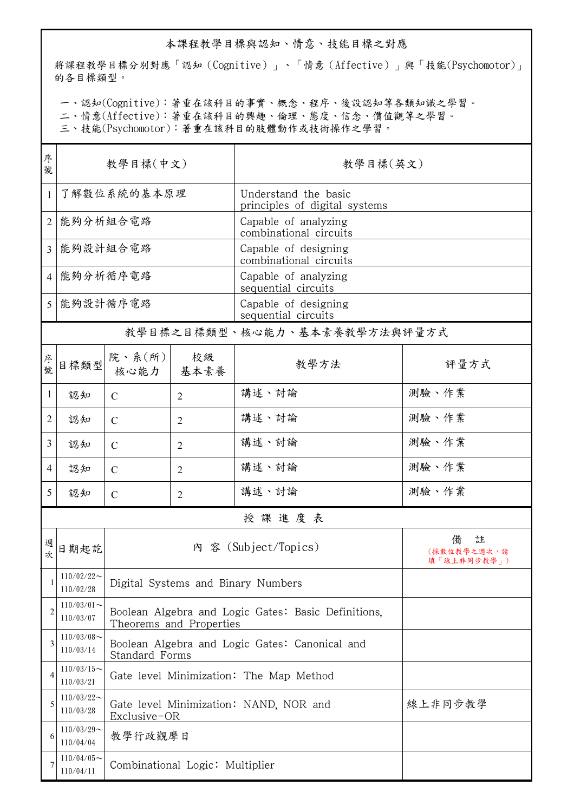## 本課程教學目標與認知、情意、技能目標之對應

將課程教學目標分別對應「認知(Cognitive)」、「情意(Affective)」與「技能(Psychomotor)」 的各目標類型。

一、認知(Cognitive):著重在該科目的事實、概念、程序、後設認知等各類知識之學習。

二、情意(Affective):著重在該科目的興趣、倫理、態度、信念、價值觀等之學習。

三、技能(Psychomotor):著重在該科目的肢體動作或技術操作之學習。

| 序<br>號         | 教學目標(中文)                                                             |                                                                                |                | 教學目標(英文)                                              |       |  |
|----------------|----------------------------------------------------------------------|--------------------------------------------------------------------------------|----------------|-------------------------------------------------------|-------|--|
| $\mathbf{1}$   | 了解數位系統的基本原理                                                          |                                                                                |                | Understand the basic<br>principles of digital systems |       |  |
| 2              | 能夠分析組合電路                                                             |                                                                                |                | Capable of analyzing<br>combinational circuits        |       |  |
| 3              | 能夠設計組合電路                                                             |                                                                                |                | Capable of designing<br>combinational circuits        |       |  |
| $\overline{4}$ | 能夠分析循序電路                                                             |                                                                                |                | Capable of analyzing<br>sequential circuits           |       |  |
| 5              | 能夠設計循序電路                                                             |                                                                                |                | Capable of designing<br>sequential circuits           |       |  |
|                | 教學目標之目標類型、核心能力、基本素養教學方法與評量方式                                         |                                                                                |                |                                                       |       |  |
| 序<br>…<br>號    | 目標類型                                                                 | 院、系(所)<br>核心能力                                                                 | 校級<br>基本素養     | 教學方法                                                  | 評量方式  |  |
| 1              | 認知                                                                   | $\mathcal{C}$                                                                  | $\overline{2}$ | 講述、討論                                                 | 測驗、作業 |  |
| 2              | 認知                                                                   | $\mathcal{C}$                                                                  | $\overline{2}$ | 講述、討論                                                 | 測驗、作業 |  |
| 3              | 認知                                                                   | $\mathcal{C}$                                                                  | $\overline{2}$ | 講述、討論                                                 | 測驗、作業 |  |
| $\overline{4}$ | 認知                                                                   | $\mathcal{C}$                                                                  | $\overline{2}$ | 講述、討論                                                 | 測驗、作業 |  |
| 5              | 認知                                                                   | $\mathcal{C}$                                                                  | $\overline{2}$ | 講述、討論                                                 | 測驗、作業 |  |
|                | 授課進度表                                                                |                                                                                |                |                                                       |       |  |
| 週次             | 備<br>註<br>內 容 (Subject/Topics)<br>日期起訖<br>(採數位教學之週次,請<br>填「線上非同步教學」) |                                                                                |                |                                                       |       |  |
| 1              | $110/02/22$ ~<br>110/02/28                                           | Digital Systems and Binary Numbers                                             |                |                                                       |       |  |
| $\overline{2}$ | $110/03/01$ ~<br>110/03/07                                           | Boolean Algebra and Logic Gates: Basic Definitions,<br>Theorems and Properties |                |                                                       |       |  |
| 3              | $110/03/08$ ~<br>110/03/14                                           | Boolean Algebra and Logic Gates: Canonical and<br>Standard Forms               |                |                                                       |       |  |
| 4              | $110/03/15$ ~<br>110/03/21                                           | Gate level Minimization: The Map Method                                        |                |                                                       |       |  |
| 5              | $110/03/22$ ~<br>110/03/28                                           | 線上非同步教學<br>Gate level Minimization: NAND, NOR and<br>Exclusive-OR              |                |                                                       |       |  |
| 6              | $110/03/29$ ~<br>110/04/04                                           | 教學行政觀摩日                                                                        |                |                                                       |       |  |
| 7              | $110/04/05$ ~<br>110/04/11                                           | Combinational Logic: Multiplier                                                |                |                                                       |       |  |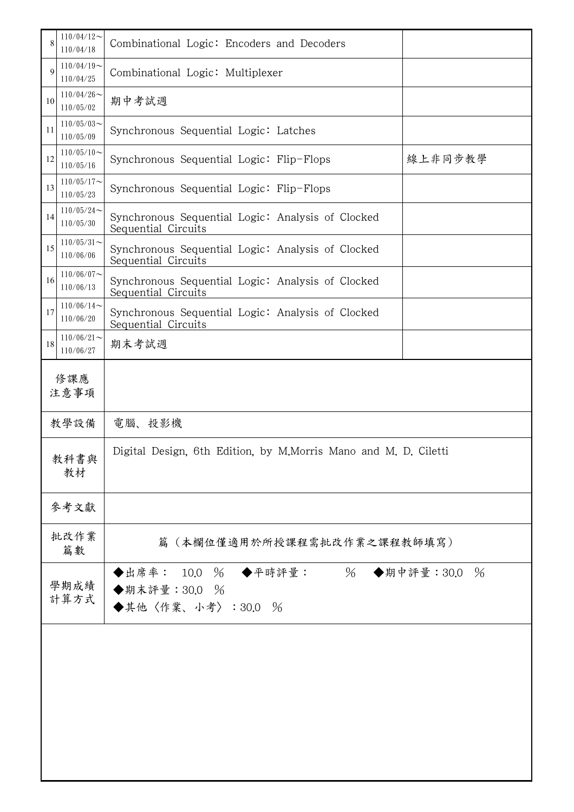|             | $110/04/12$ ~<br>110/04/18                                                                  | Combinational Logic: Encoders and Decoders                               |         |  |
|-------------|---------------------------------------------------------------------------------------------|--------------------------------------------------------------------------|---------|--|
| $\mathbf Q$ | $110/04/19$ ~<br>110/04/25                                                                  | Combinational Logic: Multiplexer                                         |         |  |
| 10          | $110/04/26$ ~<br>110/05/02                                                                  | 期中考試週                                                                    |         |  |
| 11          | $110/05/03$ ~<br>110/05/09                                                                  | Synchronous Sequential Logic: Latches                                    |         |  |
| 12          | $110/05/10$ ~<br>110/05/16                                                                  | Synchronous Sequential Logic: Flip-Flops                                 | 線上非同步教學 |  |
| 13          | $110/05/17$ ~<br>110/05/23                                                                  | Synchronous Sequential Logic: Flip-Flops                                 |         |  |
| 14          | $110/05/24$ ~<br>110/05/30                                                                  | Synchronous Sequential Logic: Analysis of Clocked<br>Sequential Circuits |         |  |
| 15          | $110/05/31$ ~<br>110/06/06                                                                  | Synchronous Sequential Logic: Analysis of Clocked<br>Sequential Circuits |         |  |
| 16          | $110/06/07$ ~<br>110/06/13                                                                  | Synchronous Sequential Logic: Analysis of Clocked<br>Sequential Circuits |         |  |
| 17          | $110/06/14$ ~<br>110/06/20                                                                  | Synchronous Sequential Logic: Analysis of Clocked<br>Sequential Circuits |         |  |
| 18          | $110/06/21$ ~<br>110/06/27                                                                  | 期末考試週                                                                    |         |  |
|             | 修課應<br>注意事項                                                                                 |                                                                          |         |  |
| 教學設備        |                                                                                             | 電腦、投影機                                                                   |         |  |
| 教科書與<br>教材  |                                                                                             | Digital Design, 6th Edition, by M.Morris Mano and M. D. Ciletti          |         |  |
|             | 參考文獻                                                                                        |                                                                          |         |  |
|             | 批改作業<br>篇數                                                                                  | 篇(本欄位僅適用於所授課程需批改作業之課程教師填寫)                                               |         |  |
|             | ◆出席率: 10.0 % ◆平時評量:<br>% ◆期中評量:30.0 %<br>學期成績<br>◆期末評量: 30.0 %<br>計算方式<br>◆其他〈作業、小考〉:30.0 % |                                                                          |         |  |
|             |                                                                                             |                                                                          |         |  |